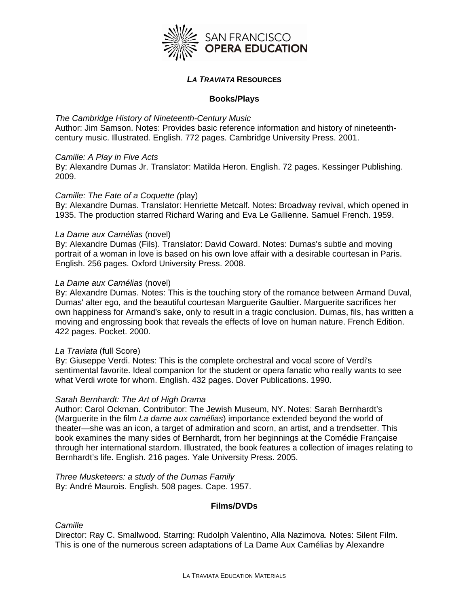

# *LA TRAVIATA* **RESOURCES**

# **Books/Plays**

## *The Cambridge History of Nineteenth-Century Music*

Author: Jim Samson. Notes: Provides basic reference information and history of nineteenthcentury music. Illustrated. English. 772 pages. Cambridge University Press. 2001.

## *Camille: A Play in Five Acts*

By: Alexandre Dumas Jr. Translator: Matilda Heron. English. 72 pages. Kessinger Publishing. 2009.

## *Camille: The Fate of a Coquette (*play)

By: Alexandre Dumas. Translator: Henriette Metcalf. Notes: Broadway revival, which opened in 1935. The production starred Richard Waring and Eva Le Gallienne. Samuel French. 1959.

## *La Dame aux Camélias* (novel)

By: Alexandre Dumas (Fils). Translator: David Coward. Notes: Dumas's subtle and moving portrait of a woman in love is based on his own love affair with a desirable courtesan in Paris. English. 256 pages. Oxford University Press. 2008.

## *La Dame aux Camélias* (novel)

By: Alexandre Dumas. Notes: This is the touching story of the romance between Armand Duval, Dumas' alter ego, and the beautiful courtesan Marguerite Gaultier. Marguerite sacrifices her own happiness for Armand's sake, only to result in a tragic conclusion. Dumas, fils, has written a moving and engrossing book that reveals the effects of love on human nature. French Edition. 422 pages. Pocket. 2000.

## *La Traviata* (full Score)

By: Giuseppe Verdi. Notes: This is the complete orchestral and vocal score of Verdi's sentimental favorite. Ideal companion for the student or opera fanatic who really wants to see what Verdi wrote for whom. English. 432 pages. Dover Publications. 1990.

#### *Sarah Bernhardt: The Art of High Drama*

Author: Carol Ockman. Contributor: The Jewish Museum, NY. Notes: Sarah Bernhardt's (Marguerite in the film *La dame aux camélias*) importance extended beyond the world of theater—she was an icon, a target of admiration and scorn, an artist, and a trendsetter. This book examines the many sides of Bernhardt, from her beginnings at the Comédie Française through her international stardom. Illustrated, the book features a collection of images relating to Bernhardt's life. English. 216 pages. Yale University Press. 2005.

*Three Musketeers: a study of the Dumas Family*  By: André Maurois. English. 508 pages. Cape. 1957.

# **Films/DVDs**

*Camille*

Director: Ray C. Smallwood. Starring: Rudolph Valentino, Alla Nazimova. Notes: Silent Film. This is one of the numerous screen adaptations of La Dame Aux Camélias by Alexandre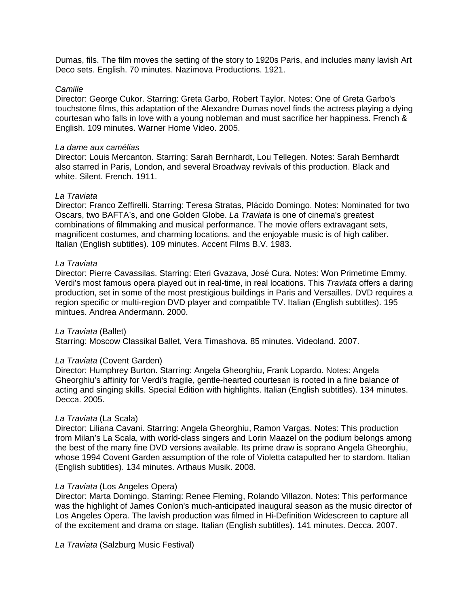Dumas, fils. The film moves the setting of the story to 1920s Paris, and includes many lavish Art Deco sets. English. 70 minutes. Nazimova Productions. 1921.

### *Camille*

Director: George Cukor. Starring: Greta Garbo, Robert Taylor. Notes: One of Greta Garbo's touchstone films, this adaptation of the Alexandre Dumas novel finds the actress playing a dying courtesan who falls in love with a young nobleman and must sacrifice her happiness. French & English. 109 minutes. Warner Home Video. 2005.

### *La dame aux camélias*

Director: Louis Mercanton. Starring: Sarah Bernhardt, Lou Tellegen. Notes: Sarah Bernhardt also starred in Paris, London, and several Broadway revivals of this production. Black and white. Silent. French. 1911.

## *La Traviata*

Director: Franco Zeffirelli. Starring: Teresa Stratas, Plácido Domingo. Notes: Nominated for two Oscars, two BAFTA's, and one Golden Globe. *La Traviata* is one of cinema's greatest combinations of filmmaking and musical performance. The movie offers extravagant sets, magnificent costumes, and charming locations, and the enjoyable music is of high caliber. Italian (English subtitles). 109 minutes. Accent Films B.V. 1983.

## *La Traviata*

Director: Pierre Cavassilas. Starring: Eteri Gvazava, José Cura. Notes: Won Primetime Emmy. Verdi's most famous opera played out in real-time, in real locations. This *Traviata* offers a daring production, set in some of the most prestigious buildings in Paris and Versailles. DVD requires a region specific or multi-region DVD player and compatible TV. Italian (English subtitles). 195 mintues. Andrea Andermann. 2000.

## *La Traviata* (Ballet)

Starring: Moscow Classikal Ballet, Vera Timashova. 85 minutes. Videoland. 2007.

## *La Traviata* (Covent Garden)

Director: Humphrey Burton. Starring: Angela Gheorghiu, Frank Lopardo. Notes: Angela Gheorghiu's affinity for Verdi's fragile, gentle-hearted courtesan is rooted in a fine balance of acting and singing skills. Special Edition with highlights. Italian (English subtitles). 134 minutes. Decca. 2005.

## *La Traviata* (La Scala)

Director: Liliana Cavani. Starring: Angela Gheorghiu, Ramon Vargas. Notes: This production from Milan's La Scala, with world-class singers and Lorin Maazel on the podium belongs among the best of the many fine DVD versions available. Its prime draw is soprano Angela Gheorghiu, whose 1994 Covent Garden assumption of the role of Violetta catapulted her to stardom. Italian (English subtitles). 134 minutes. Arthaus Musik. 2008.

#### *La Traviata* (Los Angeles Opera)

Director: Marta Domingo. Starring: Renee Fleming, Rolando Villazon. Notes: This performance was the highlight of James Conlon's much-anticipated inaugural season as the music director of Los Angeles Opera. The lavish production was filmed in Hi-Definition Widescreen to capture all of the excitement and drama on stage. Italian (English subtitles). 141 minutes. Decca. 2007.

*La Traviata* (Salzburg Music Festival)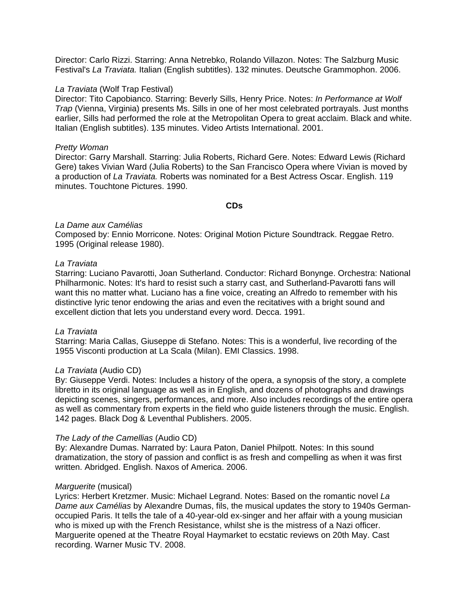Director: Carlo Rizzi. Starring: Anna Netrebko, Rolando Villazon. Notes: The Salzburg Music Festival's *La Traviata.* Italian (English subtitles). 132 minutes. Deutsche Grammophon. 2006.

### *La Traviata* (Wolf Trap Festival)

Director: Tito Capobianco. Starring: Beverly Sills, Henry Price. Notes: *In Performance at Wolf Trap* (Vienna, Virginia) presents Ms. Sills in one of her most celebrated portrayals. Just months earlier, Sills had performed the role at the Metropolitan Opera to great acclaim. Black and white. Italian (English subtitles). 135 minutes. Video Artists International. 2001.

### *Pretty Woman*

Director: Garry Marshall. Starring: Julia Roberts, Richard Gere. Notes: Edward Lewis (Richard Gere) takes Vivian Ward (Julia Roberts) to the San Francisco Opera where Vivian is moved by a production of *La Traviata.* Roberts was nominated for a Best Actress Oscar. English. 119 minutes. Touchtone Pictures. 1990.

## **CDs**

## *La Dame aux Camélias*

Composed by: Ennio Morricone. Notes: Original Motion Picture Soundtrack. Reggae Retro. 1995 (Original release 1980).

## *La Traviata*

Starring: Luciano Pavarotti, Joan Sutherland. Conductor: Richard Bonynge. Orchestra: National Philharmonic. Notes: It's hard to resist such a starry cast, and Sutherland-Pavarotti fans will want this no matter what. Luciano has a fine voice, creating an Alfredo to remember with his distinctive lyric tenor endowing the arias and even the recitatives with a bright sound and excellent diction that lets you understand every word. Decca. 1991.

### *La Traviata*

Starring: Maria Callas, Giuseppe di Stefano. Notes: This is a wonderful, live recording of the 1955 Visconti production at La Scala (Milan). EMI Classics. 1998.

#### *La Traviata* (Audio CD)

By: Giuseppe Verdi. Notes: Includes a history of the opera, a synopsis of the story, a complete libretto in its original language as well as in English, and dozens of photographs and drawings depicting scenes, singers, performances, and more. Also includes recordings of the entire opera as well as commentary from experts in the field who guide listeners through the music. English. 142 pages. Black Dog & Leventhal Publishers. 2005.

## *The Lady of the Camellias* (Audio CD)

By: Alexandre Dumas. Narrated by: Laura Paton, Daniel Philpott. Notes: In this sound dramatization, the story of passion and conflict is as fresh and compelling as when it was first written. Abridged. English. Naxos of America. 2006.

#### *Marguerite* (musical)

Lyrics: Herbert Kretzmer. Music: Michael Legrand. Notes: Based on the romantic novel *La Dame aux Camélias* by Alexandre Dumas, fils, the musical updates the story to 1940s Germanoccupied Paris. It tells the tale of a 40-year-old ex-singer and her affair with a young musician who is mixed up with the French Resistance, whilst she is the mistress of a Nazi officer. Marguerite opened at the Theatre Royal Haymarket to ecstatic reviews on 20th May. Cast recording. Warner Music TV. 2008.